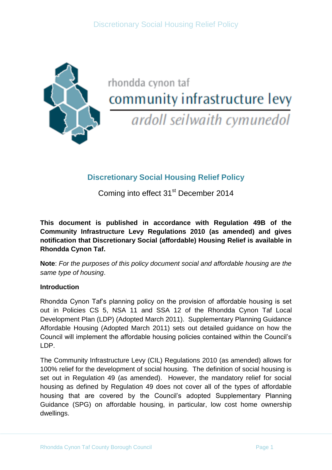

## rhondda cynon taf community infrastructure levy

ardoll seilwaith cymunedol

## **Discretionary Social Housing Relief Policy**

Coming into effect 31<sup>st</sup> December 2014

**This document is published in accordance with Regulation 49B of the Community Infrastructure Levy Regulations 2010 (as amended) and gives notification that Discretionary Social (affordable) Housing Relief is available in Rhondda Cynon Taf.**

**Note**: *For the purposes of this policy document social and affordable housing are the same type of housing*.

## **Introduction**

Rhondda Cynon Taf's planning policy on the provision of affordable housing is set out in Policies CS 5, NSA 11 and SSA 12 of the Rhondda Cynon Taf Local Development Plan (LDP) (Adopted March 2011). Supplementary Planning Guidance Affordable Housing (Adopted March 2011) sets out detailed guidance on how the Council will implement the affordable housing policies contained within the Council's LDP.

The Community Infrastructure Levy (CIL) Regulations 2010 (as amended) allows for 100% relief for the development of social housing. The definition of social housing is set out in Regulation 49 (as amended). However, the mandatory relief for social housing as defined by Regulation 49 does not cover all of the types of affordable housing that are covered by the Council's adopted Supplementary Planning Guidance (SPG) on affordable housing, in particular, low cost home ownership dwellings.